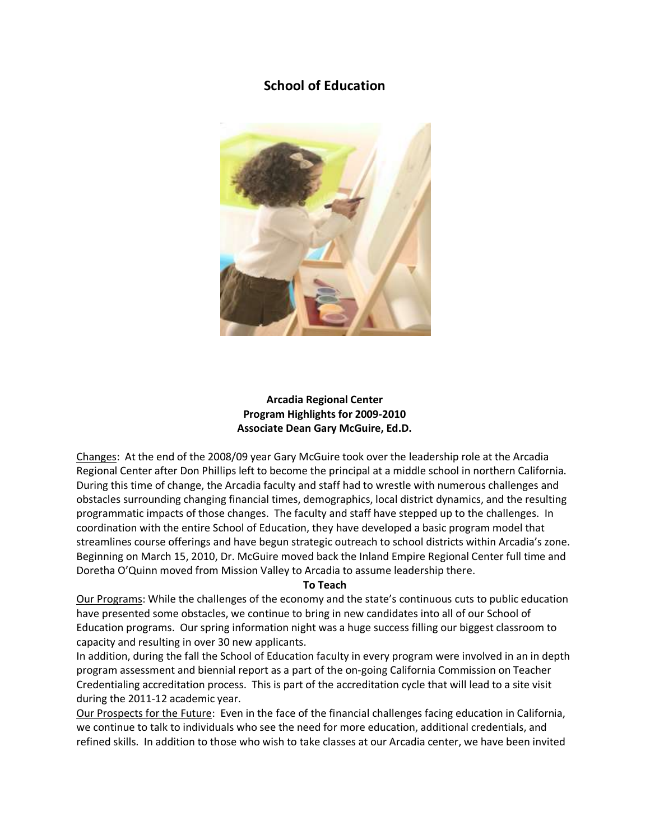# **School of Education**



# **Arcadia Regional Center Program Highlights for 2009-2010 Associate Dean Gary McGuire, Ed.D.**

Changes: At the end of the 2008/09 year Gary McGuire took over the leadership role at the Arcadia Regional Center after Don Phillips left to become the principal at a middle school in northern California. During this time of change, the Arcadia faculty and staff had to wrestle with numerous challenges and obstacles surrounding changing financial times, demographics, local district dynamics, and the resulting programmatic impacts of those changes. The faculty and staff have stepped up to the challenges. In coordination with the entire School of Education, they have developed a basic program model that streamlines course offerings and have begun strategic outreach to school districts within Arcadia's zone. Beginning on March 15, 2010, Dr. McGuire moved back the Inland Empire Regional Center full time and Doretha O'Quinn moved from Mission Valley to Arcadia to assume leadership there.

### **To Teach**

Our Programs: While the challenges of the economy and the state's continuous cuts to public education have presented some obstacles, we continue to bring in new candidates into all of our School of Education programs. Our spring information night was a huge success filling our biggest classroom to capacity and resulting in over 30 new applicants.

In addition, during the fall the School of Education faculty in every program were involved in an in depth program assessment and biennial report as a part of the on-going California Commission on Teacher Credentialing accreditation process. This is part of the accreditation cycle that will lead to a site visit during the 2011-12 academic year.

Our Prospects for the Future: Even in the face of the financial challenges facing education in California, we continue to talk to individuals who see the need for more education, additional credentials, and refined skills. In addition to those who wish to take classes at our Arcadia center, we have been invited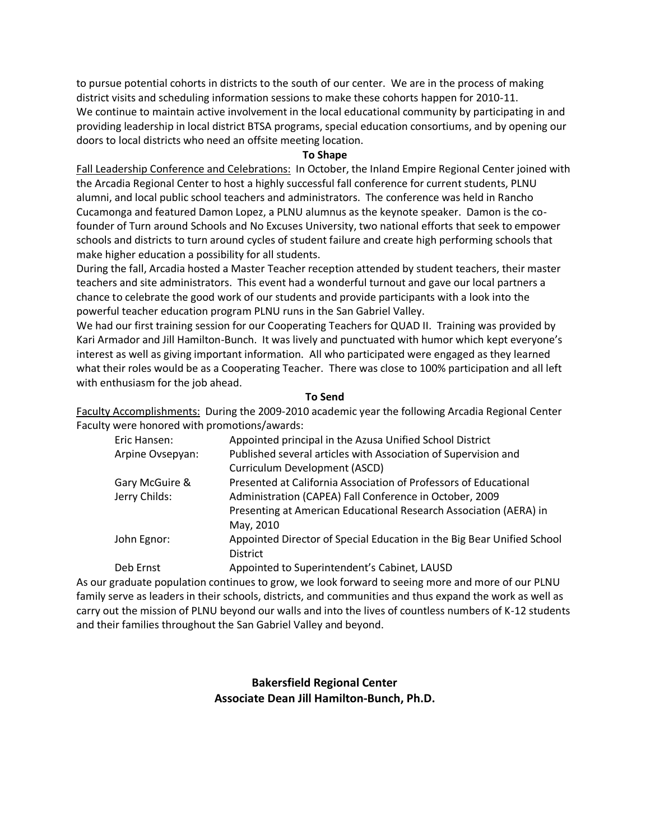to pursue potential cohorts in districts to the south of our center. We are in the process of making district visits and scheduling information sessions to make these cohorts happen for 2010-11. We continue to maintain active involvement in the local educational community by participating in and providing leadership in local district BTSA programs, special education consortiums, and by opening our doors to local districts who need an offsite meeting location.

### **To Shape**

Fall Leadership Conference and Celebrations: In October, the Inland Empire Regional Center joined with the Arcadia Regional Center to host a highly successful fall conference for current students, PLNU alumni, and local public school teachers and administrators. The conference was held in Rancho Cucamonga and featured Damon Lopez, a PLNU alumnus as the keynote speaker. Damon is the cofounder of Turn around Schools and No Excuses University, two national efforts that seek to empower schools and districts to turn around cycles of student failure and create high performing schools that make higher education a possibility for all students.

During the fall, Arcadia hosted a Master Teacher reception attended by student teachers, their master teachers and site administrators. This event had a wonderful turnout and gave our local partners a chance to celebrate the good work of our students and provide participants with a look into the powerful teacher education program PLNU runs in the San Gabriel Valley.

We had our first training session for our Cooperating Teachers for QUAD II. Training was provided by Kari Armador and Jill Hamilton-Bunch. It was lively and punctuated with humor which kept everyone's interest as well as giving important information. All who participated were engaged as they learned what their roles would be as a Cooperating Teacher. There was close to 100% participation and all left with enthusiasm for the job ahead.

### **To Send**

Faculty Accomplishments: During the 2009-2010 academic year the following Arcadia Regional Center Faculty were honored with promotions/awards:

| Eric Hansen:     | Appointed principal in the Azusa Unified School District               |
|------------------|------------------------------------------------------------------------|
| Arpine Ovsepyan: | Published several articles with Association of Supervision and         |
|                  | Curriculum Development (ASCD)                                          |
| Gary McGuire &   | Presented at California Association of Professors of Educational       |
| Jerry Childs:    | Administration (CAPEA) Fall Conference in October, 2009                |
|                  | Presenting at American Educational Research Association (AERA) in      |
|                  | May, 2010                                                              |
| John Egnor:      | Appointed Director of Special Education in the Big Bear Unified School |
|                  | <b>District</b>                                                        |
| Deb Ernst        | Appointed to Superintendent's Cabinet, LAUSD                           |
|                  |                                                                        |

As our graduate population continues to grow, we look forward to seeing more and more of our PLNU family serve as leaders in their schools, districts, and communities and thus expand the work as well as carry out the mission of PLNU beyond our walls and into the lives of countless numbers of K-12 students and their families throughout the San Gabriel Valley and beyond.

# **Bakersfield Regional Center Associate Dean Jill Hamilton-Bunch, Ph.D.**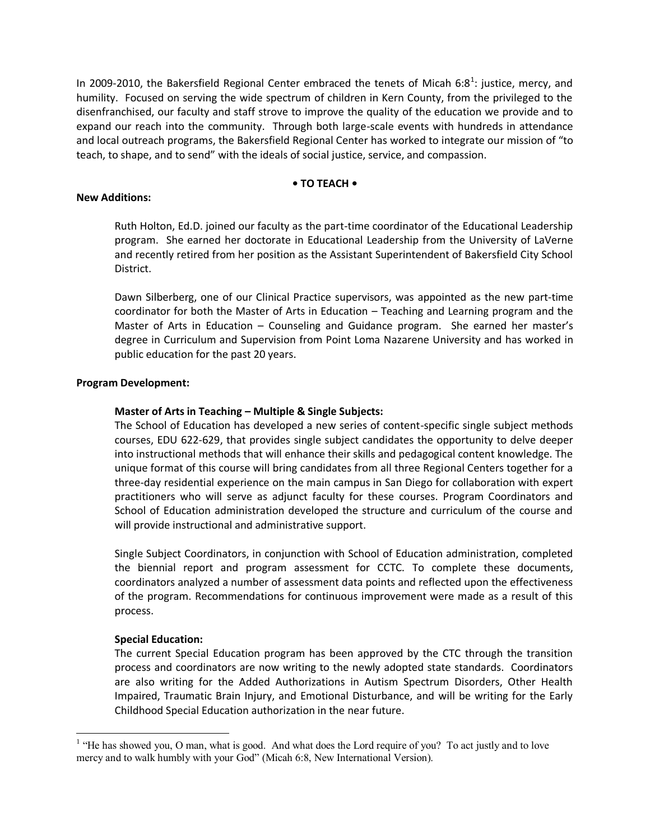In 2009-2010, the Bakersfield Regional Center embraced the tenets of Micah 6:8<sup>1</sup>: justice, mercy, and humility. Focused on serving the wide spectrum of children in Kern County, from the privileged to the disenfranchised, our faculty and staff strove to improve the quality of the education we provide and to expand our reach into the community. Through both large-scale events with hundreds in attendance and local outreach programs, the Bakersfield Regional Center has worked to integrate our mission of "to teach, to shape, and to send" with the ideals of social justice, service, and compassion.

### **• TO TEACH •**

### **New Additions:**

Ruth Holton, Ed.D. joined our faculty as the part-time coordinator of the Educational Leadership program. She earned her doctorate in Educational Leadership from the University of LaVerne and recently retired from her position as the Assistant Superintendent of Bakersfield City School District.

Dawn Silberberg, one of our Clinical Practice supervisors, was appointed as the new part-time coordinator for both the Master of Arts in Education – Teaching and Learning program and the Master of Arts in Education – Counseling and Guidance program. She earned her master's degree in Curriculum and Supervision from Point Loma Nazarene University and has worked in public education for the past 20 years.

### **Program Development:**

### **Master of Arts in Teaching – Multiple & Single Subjects:**

The School of Education has developed a new series of content-specific single subject methods courses, EDU 622-629, that provides single subject candidates the opportunity to delve deeper into instructional methods that will enhance their skills and pedagogical content knowledge. The unique format of this course will bring candidates from all three Regional Centers together for a three-day residential experience on the main campus in San Diego for collaboration with expert practitioners who will serve as adjunct faculty for these courses. Program Coordinators and School of Education administration developed the structure and curriculum of the course and will provide instructional and administrative support.

Single Subject Coordinators, in conjunction with School of Education administration, completed the biennial report and program assessment for CCTC. To complete these documents, coordinators analyzed a number of assessment data points and reflected upon the effectiveness of the program. Recommendations for continuous improvement were made as a result of this process.

# **Special Education:**

The current Special Education program has been approved by the CTC through the transition process and coordinators are now writing to the newly adopted state standards. Coordinators are also writing for the Added Authorizations in Autism Spectrum Disorders, Other Health Impaired, Traumatic Brain Injury, and Emotional Disturbance, and will be writing for the Early Childhood Special Education authorization in the near future.

<sup>&</sup>lt;sup>1</sup> "He has showed you, O man, what is good. And what does the Lord require of you? To act justly and to love mercy and to walk humbly with your God" (Micah 6:8, New International Version).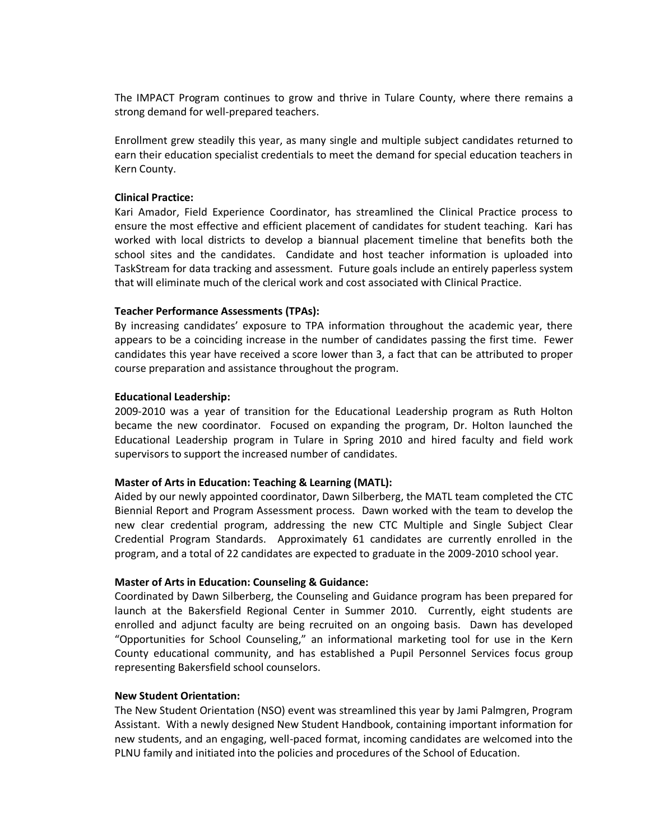The IMPACT Program continues to grow and thrive in Tulare County, where there remains a strong demand for well-prepared teachers.

Enrollment grew steadily this year, as many single and multiple subject candidates returned to earn their education specialist credentials to meet the demand for special education teachers in Kern County.

### **Clinical Practice:**

Kari Amador, Field Experience Coordinator, has streamlined the Clinical Practice process to ensure the most effective and efficient placement of candidates for student teaching. Kari has worked with local districts to develop a biannual placement timeline that benefits both the school sites and the candidates. Candidate and host teacher information is uploaded into TaskStream for data tracking and assessment. Future goals include an entirely paperless system that will eliminate much of the clerical work and cost associated with Clinical Practice.

### **Teacher Performance Assessments (TPAs):**

By increasing candidates' exposure to TPA information throughout the academic year, there appears to be a coinciding increase in the number of candidates passing the first time. Fewer candidates this year have received a score lower than 3, a fact that can be attributed to proper course preparation and assistance throughout the program.

### **Educational Leadership:**

2009-2010 was a year of transition for the Educational Leadership program as Ruth Holton became the new coordinator. Focused on expanding the program, Dr. Holton launched the Educational Leadership program in Tulare in Spring 2010 and hired faculty and field work supervisors to support the increased number of candidates.

#### **Master of Arts in Education: Teaching & Learning (MATL):**

Aided by our newly appointed coordinator, Dawn Silberberg, the MATL team completed the CTC Biennial Report and Program Assessment process. Dawn worked with the team to develop the new clear credential program, addressing the new CTC Multiple and Single Subject Clear Credential Program Standards. Approximately 61 candidates are currently enrolled in the program, and a total of 22 candidates are expected to graduate in the 2009-2010 school year.

### **Master of Arts in Education: Counseling & Guidance:**

Coordinated by Dawn Silberberg, the Counseling and Guidance program has been prepared for launch at the Bakersfield Regional Center in Summer 2010. Currently, eight students are enrolled and adjunct faculty are being recruited on an ongoing basis. Dawn has developed "Opportunities for School Counseling," an informational marketing tool for use in the Kern County educational community, and has established a Pupil Personnel Services focus group representing Bakersfield school counselors.

### **New Student Orientation:**

The New Student Orientation (NSO) event was streamlined this year by Jami Palmgren, Program Assistant. With a newly designed New Student Handbook, containing important information for new students, and an engaging, well-paced format, incoming candidates are welcomed into the PLNU family and initiated into the policies and procedures of the School of Education.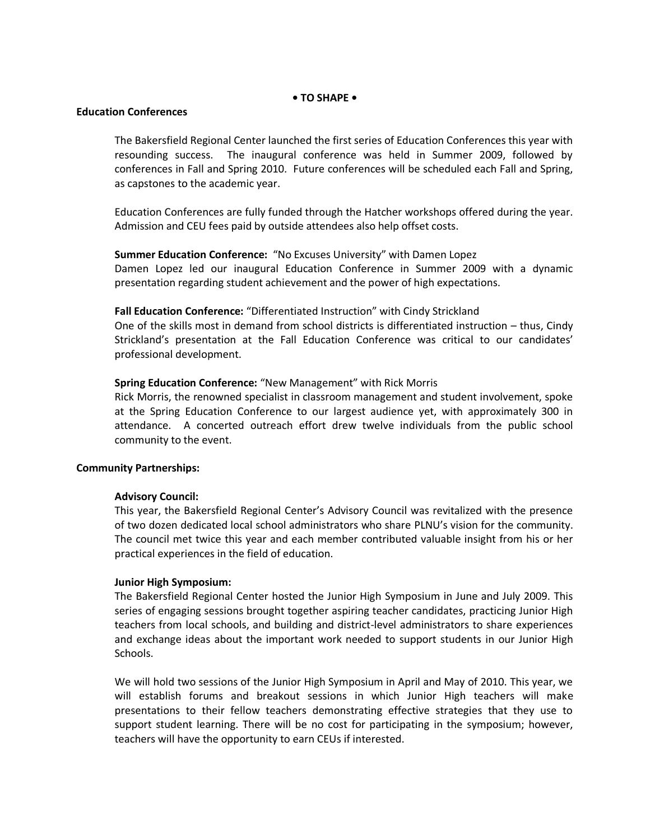### **• TO SHAPE •**

### **Education Conferences**

The Bakersfield Regional Center launched the first series of Education Conferences this year with resounding success. The inaugural conference was held in Summer 2009, followed by conferences in Fall and Spring 2010. Future conferences will be scheduled each Fall and Spring, as capstones to the academic year.

Education Conferences are fully funded through the Hatcher workshops offered during the year. Admission and CEU fees paid by outside attendees also help offset costs.

### **Summer Education Conference:** "No Excuses University" with Damen Lopez

Damen Lopez led our inaugural Education Conference in Summer 2009 with a dynamic presentation regarding student achievement and the power of high expectations.

### **Fall Education Conference:** "Differentiated Instruction" with Cindy Strickland

One of the skills most in demand from school districts is differentiated instruction – thus, Cindy Strickland's presentation at the Fall Education Conference was critical to our candidates' professional development.

### **Spring Education Conference:** "New Management" with Rick Morris

Rick Morris, the renowned specialist in classroom management and student involvement, spoke at the Spring Education Conference to our largest audience yet, with approximately 300 in attendance. A concerted outreach effort drew twelve individuals from the public school community to the event.

#### **Community Partnerships:**

#### **Advisory Council:**

This year, the Bakersfield Regional Center's Advisory Council was revitalized with the presence of two dozen dedicated local school administrators who share PLNU's vision for the community. The council met twice this year and each member contributed valuable insight from his or her practical experiences in the field of education.

### **Junior High Symposium:**

The Bakersfield Regional Center hosted the Junior High Symposium in June and July 2009. This series of engaging sessions brought together aspiring teacher candidates, practicing Junior High teachers from local schools, and building and district-level administrators to share experiences and exchange ideas about the important work needed to support students in our Junior High Schools.

We will hold two sessions of the Junior High Symposium in April and May of 2010. This year, we will establish forums and breakout sessions in which Junior High teachers will make presentations to their fellow teachers demonstrating effective strategies that they use to support student learning. There will be no cost for participating in the symposium; however, teachers will have the opportunity to earn CEUs if interested.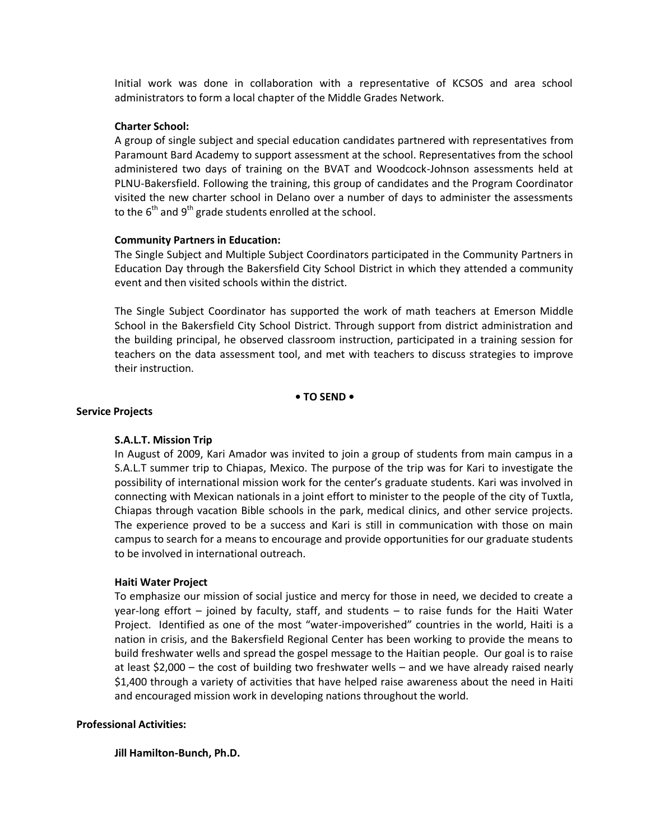Initial work was done in collaboration with a representative of KCSOS and area school administrators to form a local chapter of the Middle Grades Network.

#### **Charter School:**

A group of single subject and special education candidates partnered with representatives from Paramount Bard Academy to support assessment at the school. Representatives from the school administered two days of training on the BVAT and Woodcock-Johnson assessments held at PLNU-Bakersfield. Following the training, this group of candidates and the Program Coordinator visited the new charter school in Delano over a number of days to administer the assessments to the  $6<sup>th</sup>$  and  $9<sup>th</sup>$  grade students enrolled at the school.

#### **Community Partners in Education:**

The Single Subject and Multiple Subject Coordinators participated in the Community Partners in Education Day through the Bakersfield City School District in which they attended a community event and then visited schools within the district.

The Single Subject Coordinator has supported the work of math teachers at Emerson Middle School in the Bakersfield City School District. Through support from district administration and the building principal, he observed classroom instruction, participated in a training session for teachers on the data assessment tool, and met with teachers to discuss strategies to improve their instruction.

### **• TO SEND •**

### **Service Projects**

### **S.A.L.T. Mission Trip**

In August of 2009, Kari Amador was invited to join a group of students from main campus in a S.A.L.T summer trip to Chiapas, Mexico. The purpose of the trip was for Kari to investigate the possibility of international mission work for the center's graduate students. Kari was involved in connecting with Mexican nationals in a joint effort to minister to the people of the city of Tuxtla, Chiapas through vacation Bible schools in the park, medical clinics, and other service projects. The experience proved to be a success and Kari is still in communication with those on main campus to search for a means to encourage and provide opportunities for our graduate students to be involved in international outreach.

### **Haiti Water Project**

To emphasize our mission of social justice and mercy for those in need, we decided to create a year-long effort – joined by faculty, staff, and students – to raise funds for the Haiti Water Project. Identified as one of the most "water-impoverished" countries in the world, Haiti is a nation in crisis, and the Bakersfield Regional Center has been working to provide the means to build freshwater wells and spread the gospel message to the Haitian people. Our goal is to raise at least \$2,000 – the cost of building two freshwater wells – and we have already raised nearly \$1,400 through a variety of activities that have helped raise awareness about the need in Haiti and encouraged mission work in developing nations throughout the world.

### **Professional Activities:**

#### **Jill Hamilton-Bunch, Ph.D.**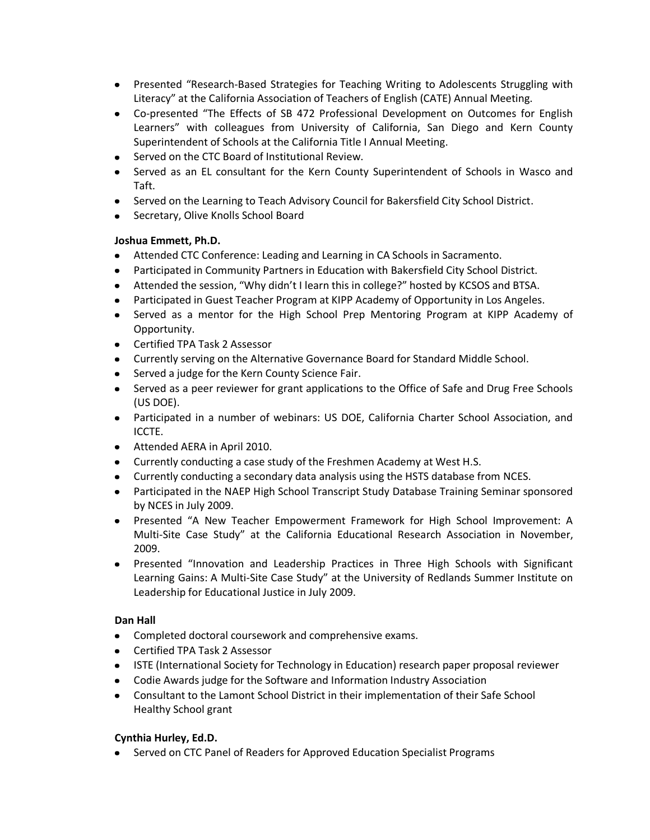- Presented "Research-Based Strategies for Teaching Writing to Adolescents Struggling with Literacy" at the California Association of Teachers of English (CATE) Annual Meeting.
- Co-presented "The Effects of SB 472 Professional Development on Outcomes for English Learners" with colleagues from University of California, San Diego and Kern County Superintendent of Schools at the California Title I Annual Meeting.
- Served on the CTC Board of Institutional Review.
- Served as an EL consultant for the Kern County Superintendent of Schools in Wasco and Taft.
- Served on the Learning to Teach Advisory Council for Bakersfield City School District.
- **•** Secretary, Olive Knolls School Board

# **Joshua Emmett, Ph.D.**

- Attended CTC Conference: Leading and Learning in CA Schools in Sacramento.
- Participated in Community Partners in Education with Bakersfield City School District.
- Attended the session, "Why didn't I learn this in college?" hosted by KCSOS and BTSA.
- Participated in Guest Teacher Program at KIPP Academy of Opportunity in Los Angeles.
- Served as a mentor for the High School Prep Mentoring Program at KIPP Academy of Opportunity.
- Certified TPA Task 2 Assessor
- Currently serving on the Alternative Governance Board for Standard Middle School.
- Served a judge for the Kern County Science Fair.
- Served as a peer reviewer for grant applications to the Office of Safe and Drug Free Schools (US DOE).
- Participated in a number of webinars: US DOE, California Charter School Association, and ICCTE.
- Attended AERA in April 2010.
- Currently conducting a case study of the Freshmen Academy at West H.S.
- Currently conducting a secondary data analysis using the HSTS database from NCES.
- Participated in the NAEP High School Transcript Study Database Training Seminar sponsored by NCES in July 2009.
- Presented "A New Teacher Empowerment Framework for High School Improvement: A Multi-Site Case Study" at the California Educational Research Association in November, 2009.
- Presented "Innovation and Leadership Practices in Three High Schools with Significant Learning Gains: A Multi-Site Case Study" at the University of Redlands Summer Institute on Leadership for Educational Justice in July 2009.

# **Dan Hall**

- Completed doctoral coursework and comprehensive exams.
- Certified TPA Task 2 Assessor
- ISTE (International Society for Technology in Education) research paper proposal reviewer
- Codie Awards judge for the Software and Information Industry Association
- Consultant to the Lamont School District in their implementation of their Safe School Healthy School grant

# **Cynthia Hurley, Ed.D.**

• Served on CTC Panel of Readers for Approved Education Specialist Programs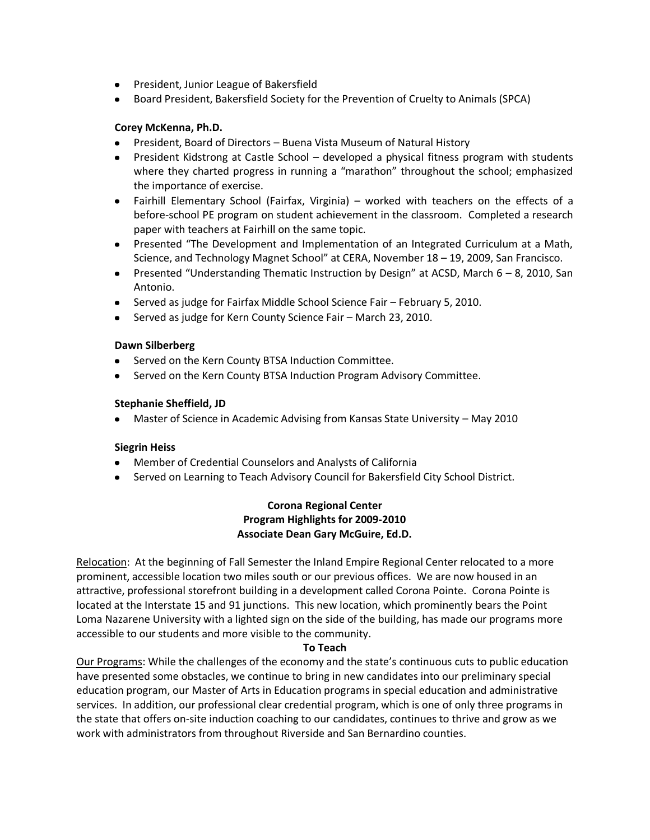- President, Junior League of Bakersfield
- Board President, Bakersfield Society for the Prevention of Cruelty to Animals (SPCA)

# **Corey McKenna, Ph.D.**

- President, Board of Directors Buena Vista Museum of Natural History
- President Kidstrong at Castle School developed a physical fitness program with students where they charted progress in running a "marathon" throughout the school; emphasized the importance of exercise.
- Fairhill Elementary School (Fairfax, Virginia) worked with teachers on the effects of a before-school PE program on student achievement in the classroom. Completed a research paper with teachers at Fairhill on the same topic.
- Presented "The Development and Implementation of an Integrated Curriculum at a Math, Science, and Technology Magnet School" at CERA, November 18 – 19, 2009, San Francisco.
- Presented "Understanding Thematic Instruction by Design" at ACSD, March 6 8, 2010, San Antonio.
- Served as judge for Fairfax Middle School Science Fair February 5, 2010.
- Served as judge for Kern County Science Fair March 23, 2010.

# **Dawn Silberberg**

- **•** Served on the Kern County BTSA Induction Committee.
- Served on the Kern County BTSA Induction Program Advisory Committee.

# **Stephanie Sheffield, JD**

Master of Science in Academic Advising from Kansas State University – May 2010

# **Siegrin Heiss**

- Member of Credential Counselors and Analysts of California
- $\bullet$ Served on Learning to Teach Advisory Council for Bakersfield City School District.

# **Corona Regional Center Program Highlights for 2009-2010 Associate Dean Gary McGuire, Ed.D.**

Relocation: At the beginning of Fall Semester the Inland Empire Regional Center relocated to a more prominent, accessible location two miles south or our previous offices. We are now housed in an attractive, professional storefront building in a development called Corona Pointe. Corona Pointe is located at the Interstate 15 and 91 junctions. This new location, which prominently bears the Point Loma Nazarene University with a lighted sign on the side of the building, has made our programs more accessible to our students and more visible to the community.

# **To Teach**

Our Programs: While the challenges of the economy and the state's continuous cuts to public education have presented some obstacles, we continue to bring in new candidates into our preliminary special education program, our Master of Arts in Education programs in special education and administrative services. In addition, our professional clear credential program, which is one of only three programs in the state that offers on-site induction coaching to our candidates, continues to thrive and grow as we work with administrators from throughout Riverside and San Bernardino counties.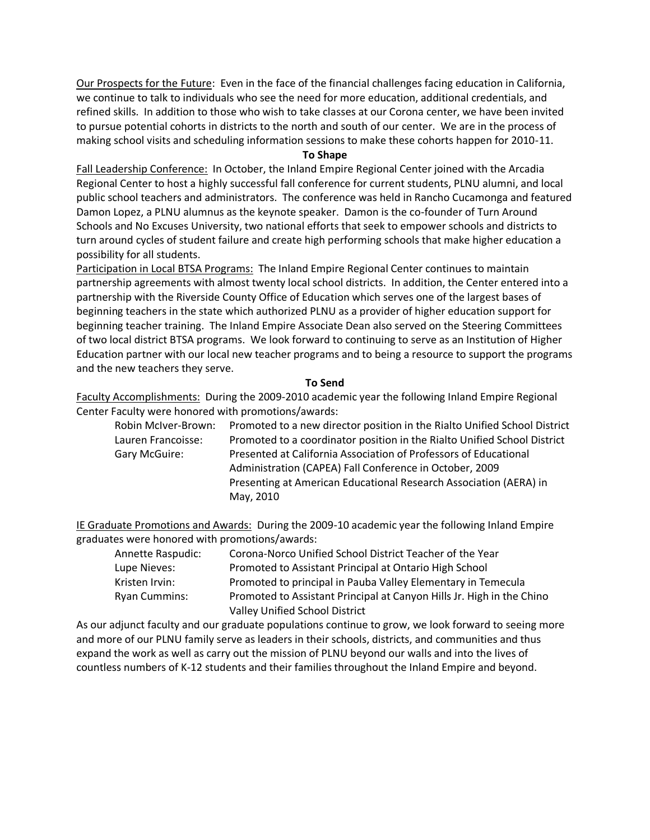Our Prospects for the Future: Even in the face of the financial challenges facing education in California, we continue to talk to individuals who see the need for more education, additional credentials, and refined skills. In addition to those who wish to take classes at our Corona center, we have been invited to pursue potential cohorts in districts to the north and south of our center. We are in the process of making school visits and scheduling information sessions to make these cohorts happen for 2010-11.

### **To Shape**

Fall Leadership Conference: In October, the Inland Empire Regional Center joined with the Arcadia Regional Center to host a highly successful fall conference for current students, PLNU alumni, and local public school teachers and administrators. The conference was held in Rancho Cucamonga and featured Damon Lopez, a PLNU alumnus as the keynote speaker. Damon is the co-founder of Turn Around Schools and No Excuses University, two national efforts that seek to empower schools and districts to turn around cycles of student failure and create high performing schools that make higher education a possibility for all students.

Participation in Local BTSA Programs: The Inland Empire Regional Center continues to maintain partnership agreements with almost twenty local school districts. In addition, the Center entered into a partnership with the Riverside County Office of Education which serves one of the largest bases of beginning teachers in the state which authorized PLNU as a provider of higher education support for beginning teacher training. The Inland Empire Associate Dean also served on the Steering Committees of two local district BTSA programs. We look forward to continuing to serve as an Institution of Higher Education partner with our local new teacher programs and to being a resource to support the programs and the new teachers they serve.

### **To Send**

Faculty Accomplishments: During the 2009-2010 academic year the following Inland Empire Regional Center Faculty were honored with promotions/awards:

Robin McIver-Brown: Promoted to a new director position in the Rialto Unified School District Lauren Francoisse: Promoted to a coordinator position in the Rialto Unified School District Gary McGuire: Presented at California Association of Professors of Educational Administration (CAPEA) Fall Conference in October, 2009 Presenting at American Educational Research Association (AERA) in May, 2010

IE Graduate Promotions and Awards: During the 2009-10 academic year the following Inland Empire graduates were honored with promotions/awards:

| Annette Raspudic:    | Corona-Norco Unified School District Teacher of the Year              |
|----------------------|-----------------------------------------------------------------------|
| Lupe Nieves:         | Promoted to Assistant Principal at Ontario High School                |
| Kristen Irvin:       | Promoted to principal in Pauba Valley Elementary in Temecula          |
| <b>Ryan Cummins:</b> | Promoted to Assistant Principal at Canyon Hills Jr. High in the Chino |
|                      | Valley Unified School District                                        |

As our adjunct faculty and our graduate populations continue to grow, we look forward to seeing more and more of our PLNU family serve as leaders in their schools, districts, and communities and thus expand the work as well as carry out the mission of PLNU beyond our walls and into the lives of countless numbers of K-12 students and their families throughout the Inland Empire and beyond.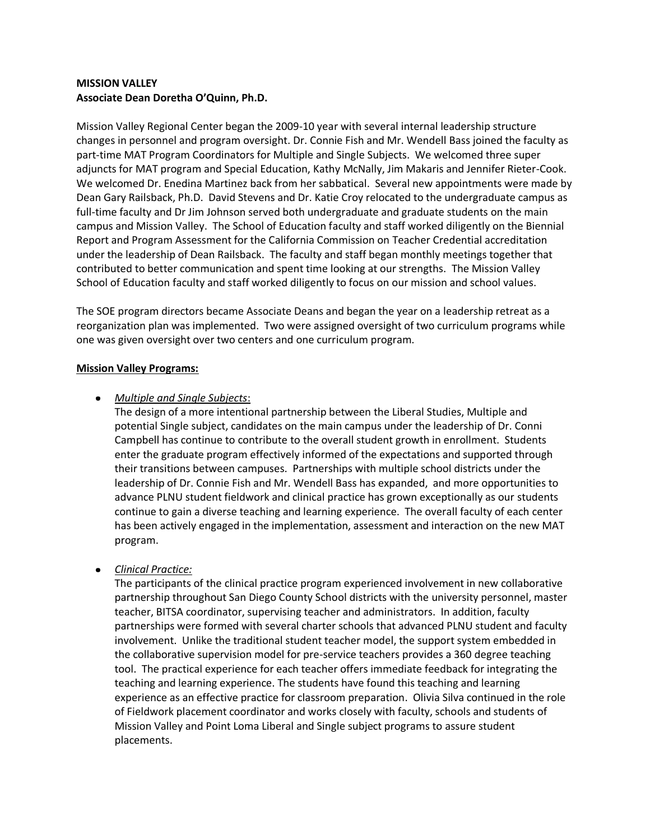# **MISSION VALLEY Associate Dean Doretha O'Quinn, Ph.D.**

Mission Valley Regional Center began the 2009-10 year with several internal leadership structure changes in personnel and program oversight. Dr. Connie Fish and Mr. Wendell Bass joined the faculty as part-time MAT Program Coordinators for Multiple and Single Subjects. We welcomed three super adjuncts for MAT program and Special Education, Kathy McNally, Jim Makaris and Jennifer Rieter-Cook. We welcomed Dr. Enedina Martinez back from her sabbatical. Several new appointments were made by Dean Gary Railsback, Ph.D. David Stevens and Dr. Katie Croy relocated to the undergraduate campus as full-time faculty and Dr Jim Johnson served both undergraduate and graduate students on the main campus and Mission Valley. The School of Education faculty and staff worked diligently on the Biennial Report and Program Assessment for the California Commission on Teacher Credential accreditation under the leadership of Dean Railsback. The faculty and staff began monthly meetings together that contributed to better communication and spent time looking at our strengths. The Mission Valley School of Education faculty and staff worked diligently to focus on our mission and school values.

The SOE program directors became Associate Deans and began the year on a leadership retreat as a reorganization plan was implemented. Two were assigned oversight of two curriculum programs while one was given oversight over two centers and one curriculum program.

### **Mission Valley Programs:**

# *Multiple and Single Subjects*:

The design of a more intentional partnership between the Liberal Studies, Multiple and potential Single subject, candidates on the main campus under the leadership of Dr. Conni Campbell has continue to contribute to the overall student growth in enrollment. Students enter the graduate program effectively informed of the expectations and supported through their transitions between campuses. Partnerships with multiple school districts under the leadership of Dr. Connie Fish and Mr. Wendell Bass has expanded, and more opportunities to advance PLNU student fieldwork and clinical practice has grown exceptionally as our students continue to gain a diverse teaching and learning experience. The overall faculty of each center has been actively engaged in the implementation, assessment and interaction on the new MAT program.

# *Clinical Practice:*

The participants of the clinical practice program experienced involvement in new collaborative partnership throughout San Diego County School districts with the university personnel, master teacher, BITSA coordinator, supervising teacher and administrators. In addition, faculty partnerships were formed with several charter schools that advanced PLNU student and faculty involvement. Unlike the traditional student teacher model, the support system embedded in the collaborative supervision model for pre-service teachers provides a 360 degree teaching tool. The practical experience for each teacher offers immediate feedback for integrating the teaching and learning experience. The students have found this teaching and learning experience as an effective practice for classroom preparation. Olivia Silva continued in the role of Fieldwork placement coordinator and works closely with faculty, schools and students of Mission Valley and Point Loma Liberal and Single subject programs to assure student placements.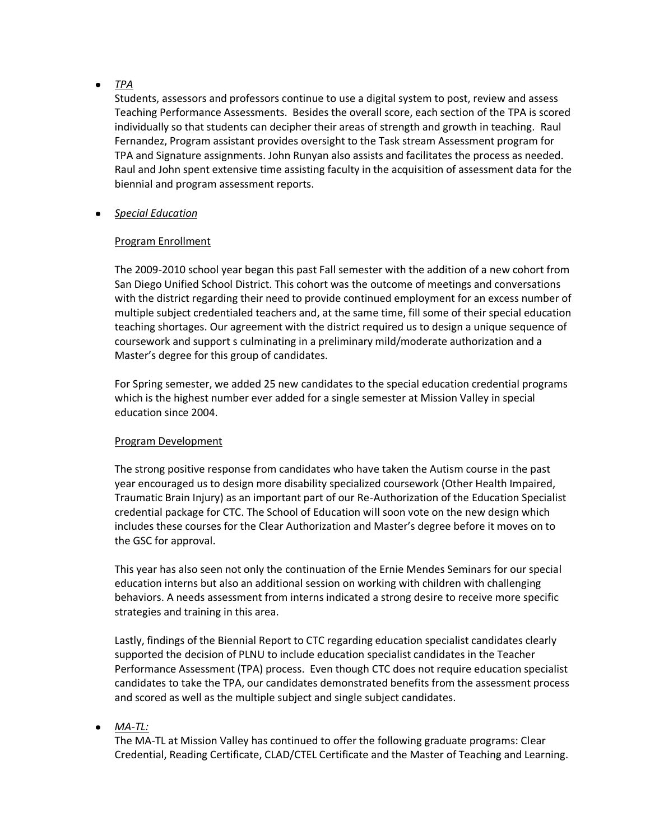#### *TPA*  $\bullet$

Students, assessors and professors continue to use a digital system to post, review and assess Teaching Performance Assessments. Besides the overall score, each section of the TPA is scored individually so that students can decipher their areas of strength and growth in teaching. Raul Fernandez, Program assistant provides oversight to the Task stream Assessment program for TPA and Signature assignments. John Runyan also assists and facilitates the process as needed. Raul and John spent extensive time assisting faculty in the acquisition of assessment data for the biennial and program assessment reports.

*Special Education*

# Program Enrollment

The 2009-2010 school year began this past Fall semester with the addition of a new cohort from San Diego Unified School District. This cohort was the outcome of meetings and conversations with the district regarding their need to provide continued employment for an excess number of multiple subject credentialed teachers and, at the same time, fill some of their special education teaching shortages. Our agreement with the district required us to design a unique sequence of coursework and support s culminating in a preliminary mild/moderate authorization and a Master's degree for this group of candidates.

For Spring semester, we added 25 new candidates to the special education credential programs which is the highest number ever added for a single semester at Mission Valley in special education since 2004.

# Program Development

The strong positive response from candidates who have taken the Autism course in the past year encouraged us to design more disability specialized coursework (Other Health Impaired, Traumatic Brain Injury) as an important part of our Re-Authorization of the Education Specialist credential package for CTC. The School of Education will soon vote on the new design which includes these courses for the Clear Authorization and Master's degree before it moves on to the GSC for approval.

This year has also seen not only the continuation of the Ernie Mendes Seminars for our special education interns but also an additional session on working with children with challenging behaviors. A needs assessment from interns indicated a strong desire to receive more specific strategies and training in this area.

Lastly, findings of the Biennial Report to CTC regarding education specialist candidates clearly supported the decision of PLNU to include education specialist candidates in the Teacher Performance Assessment (TPA) process. Even though CTC does not require education specialist candidates to take the TPA, our candidates demonstrated benefits from the assessment process and scored as well as the multiple subject and single subject candidates.

# *MA-TL:*

The MA-TL at Mission Valley has continued to offer the following graduate programs: Clear Credential, Reading Certificate, CLAD/CTEL Certificate and the Master of Teaching and Learning.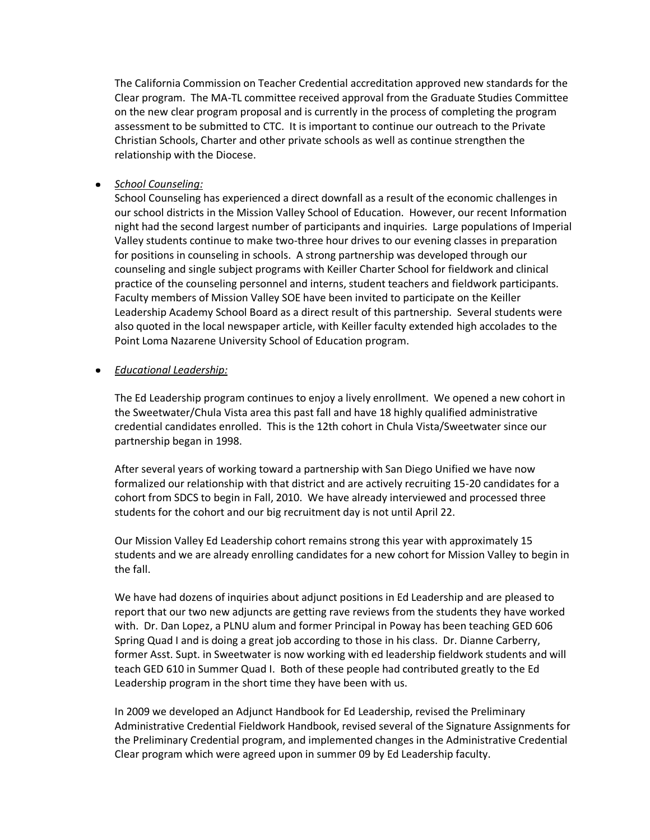The California Commission on Teacher Credential accreditation approved new standards for the Clear program. The MA-TL committee received approval from the Graduate Studies Committee on the new clear program proposal and is currently in the process of completing the program assessment to be submitted to CTC. It is important to continue our outreach to the Private Christian Schools, Charter and other private schools as well as continue strengthen the relationship with the Diocese.

*School Counseling:*

School Counseling has experienced a direct downfall as a result of the economic challenges in our school districts in the Mission Valley School of Education. However, our recent Information night had the second largest number of participants and inquiries. Large populations of Imperial Valley students continue to make two-three hour drives to our evening classes in preparation for positions in counseling in schools. A strong partnership was developed through our counseling and single subject programs with Keiller Charter School for fieldwork and clinical practice of the counseling personnel and interns, student teachers and fieldwork participants. Faculty members of Mission Valley SOE have been invited to participate on the Keiller Leadership Academy School Board as a direct result of this partnership. Several students were also quoted in the local newspaper article, with Keiller faculty extended high accolades to the Point Loma Nazarene University School of Education program.

*Educational Leadership:*

The Ed Leadership program continues to enjoy a lively enrollment. We opened a new cohort in the Sweetwater/Chula Vista area this past fall and have 18 highly qualified administrative credential candidates enrolled. This is the 12th cohort in Chula Vista/Sweetwater since our partnership began in 1998.

After several years of working toward a partnership with San Diego Unified we have now formalized our relationship with that district and are actively recruiting 15-20 candidates for a cohort from SDCS to begin in Fall, 2010. We have already interviewed and processed three students for the cohort and our big recruitment day is not until April 22.

Our Mission Valley Ed Leadership cohort remains strong this year with approximately 15 students and we are already enrolling candidates for a new cohort for Mission Valley to begin in the fall.

We have had dozens of inquiries about adjunct positions in Ed Leadership and are pleased to report that our two new adjuncts are getting rave reviews from the students they have worked with. Dr. Dan Lopez, a PLNU alum and former Principal in Poway has been teaching GED 606 Spring Quad I and is doing a great job according to those in his class. Dr. Dianne Carberry, former Asst. Supt. in Sweetwater is now working with ed leadership fieldwork students and will teach GED 610 in Summer Quad I. Both of these people had contributed greatly to the Ed Leadership program in the short time they have been with us.

In 2009 we developed an Adjunct Handbook for Ed Leadership, revised the Preliminary Administrative Credential Fieldwork Handbook, revised several of the Signature Assignments for the Preliminary Credential program, and implemented changes in the Administrative Credential Clear program which were agreed upon in summer 09 by Ed Leadership faculty.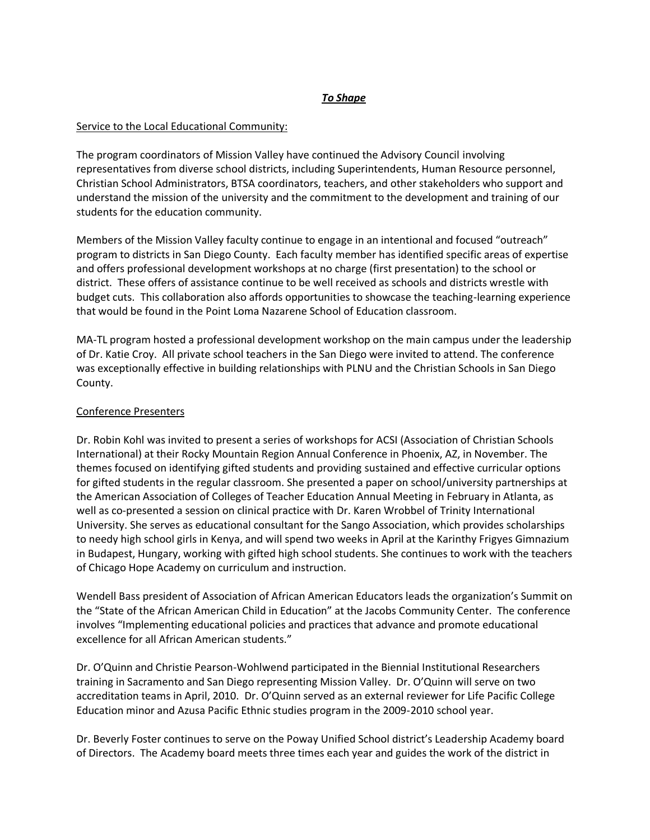# *To Shape*

# Service to the Local Educational Community:

The program coordinators of Mission Valley have continued the Advisory Council involving representatives from diverse school districts, including Superintendents, Human Resource personnel, Christian School Administrators, BTSA coordinators, teachers, and other stakeholders who support and understand the mission of the university and the commitment to the development and training of our students for the education community.

Members of the Mission Valley faculty continue to engage in an intentional and focused "outreach" program to districts in San Diego County. Each faculty member has identified specific areas of expertise and offers professional development workshops at no charge (first presentation) to the school or district. These offers of assistance continue to be well received as schools and districts wrestle with budget cuts. This collaboration also affords opportunities to showcase the teaching-learning experience that would be found in the Point Loma Nazarene School of Education classroom.

MA-TL program hosted a professional development workshop on the main campus under the leadership of Dr. Katie Croy. All private school teachers in the San Diego were invited to attend. The conference was exceptionally effective in building relationships with PLNU and the Christian Schools in San Diego County.

# Conference Presenters

Dr. Robin Kohl was invited to present a series of workshops for ACSI (Association of Christian Schools International) at their Rocky Mountain Region Annual Conference in Phoenix, AZ, in November. The themes focused on identifying gifted students and providing sustained and effective curricular options for gifted students in the regular classroom. She presented a paper on school/university partnerships at the American Association of Colleges of Teacher Education Annual Meeting in February in Atlanta, as well as co-presented a session on clinical practice with Dr. Karen Wrobbel of Trinity International University. She serves as educational consultant for the Sango Association, which provides scholarships to needy high school girls in Kenya, and will spend two weeks in April at the Karinthy Frigyes Gimnazium in Budapest, Hungary, working with gifted high school students. She continues to work with the teachers of Chicago Hope Academy on curriculum and instruction.

Wendell Bass president of Association of African American Educators leads the organization's Summit on the "State of the African American Child in Education" at the Jacobs Community Center. The conference involves "Implementing educational policies and practices that advance and promote educational excellence for all African American students."

Dr. O'Quinn and Christie Pearson-Wohlwend participated in the Biennial Institutional Researchers training in Sacramento and San Diego representing Mission Valley. Dr. O'Quinn will serve on two accreditation teams in April, 2010. Dr. O'Quinn served as an external reviewer for Life Pacific College Education minor and Azusa Pacific Ethnic studies program in the 2009-2010 school year.

Dr. Beverly Foster continues to serve on the Poway Unified School district's Leadership Academy board of Directors. The Academy board meets three times each year and guides the work of the district in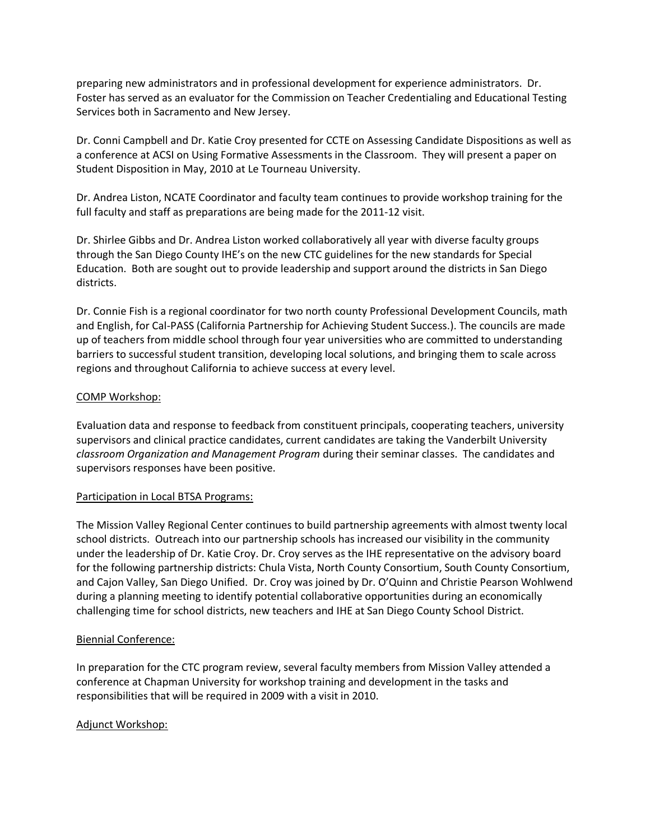preparing new administrators and in professional development for experience administrators. Dr. Foster has served as an evaluator for the Commission on Teacher Credentialing and Educational Testing Services both in Sacramento and New Jersey.

Dr. Conni Campbell and Dr. Katie Croy presented for CCTE on Assessing Candidate Dispositions as well as a conference at ACSI on Using Formative Assessments in the Classroom. They will present a paper on Student Disposition in May, 2010 at Le Tourneau University.

Dr. Andrea Liston, NCATE Coordinator and faculty team continues to provide workshop training for the full faculty and staff as preparations are being made for the 2011-12 visit.

Dr. Shirlee Gibbs and Dr. Andrea Liston worked collaboratively all year with diverse faculty groups through the San Diego County IHE's on the new CTC guidelines for the new standards for Special Education. Both are sought out to provide leadership and support around the districts in San Diego districts.

Dr. Connie Fish is a regional coordinator for two north county Professional Development Councils, math and English, for Cal-PASS (California Partnership for Achieving Student Success.). The councils are made up of teachers from middle school through four year universities who are committed to understanding barriers to successful student transition, developing local solutions, and bringing them to scale across regions and throughout California to achieve success at every level.

# COMP Workshop:

Evaluation data and response to feedback from constituent principals, cooperating teachers, university supervisors and clinical practice candidates, current candidates are taking the Vanderbilt University *classroom Organization and Management Program* during their seminar classes. The candidates and supervisors responses have been positive.

# Participation in Local BTSA Programs:

The Mission Valley Regional Center continues to build partnership agreements with almost twenty local school districts. Outreach into our partnership schools has increased our visibility in the community under the leadership of Dr. Katie Croy. Dr. Croy serves as the IHE representative on the advisory board for the following partnership districts: Chula Vista, North County Consortium, South County Consortium, and Cajon Valley, San Diego Unified. Dr. Croy was joined by Dr. O'Quinn and Christie Pearson Wohlwend during a planning meeting to identify potential collaborative opportunities during an economically challenging time for school districts, new teachers and IHE at San Diego County School District.

# Biennial Conference:

In preparation for the CTC program review, several faculty members from Mission Valley attended a conference at Chapman University for workshop training and development in the tasks and responsibilities that will be required in 2009 with a visit in 2010.

# Adjunct Workshop: